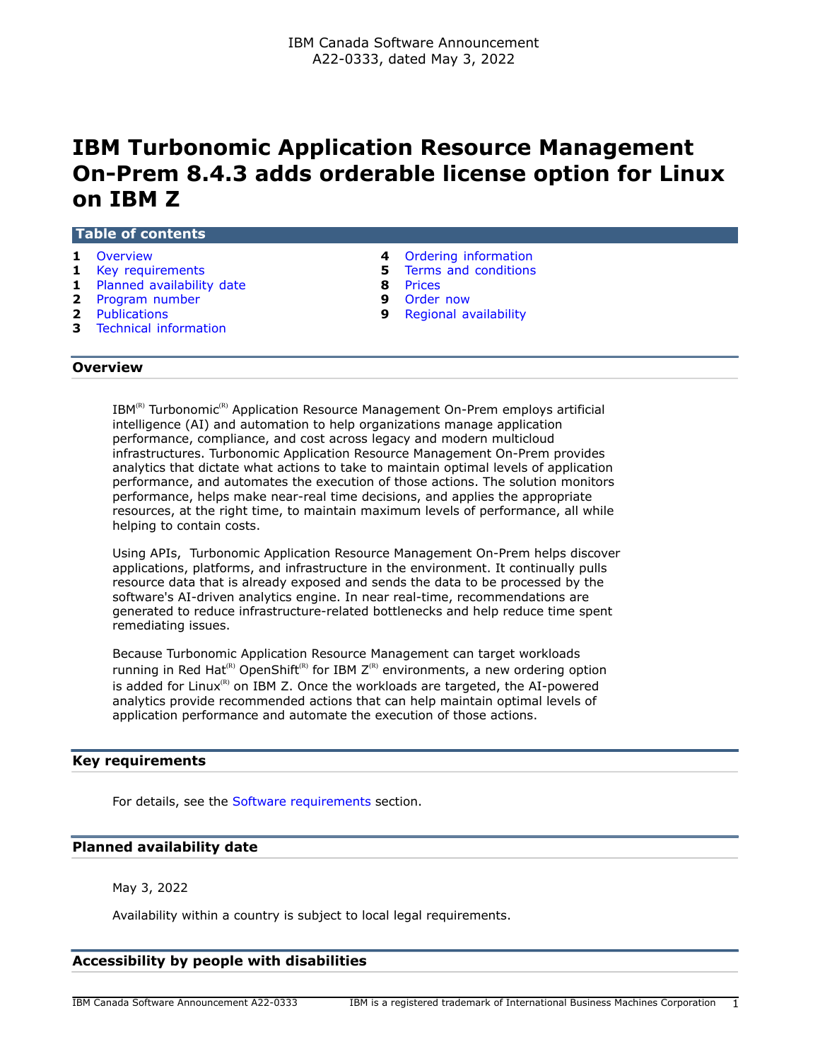# **IBM Turbonomic Application Resource Management On-Prem 8.4.3 adds orderable license option for Linux on IBM Z**

#### **Table of contents**

- 
- 
- **1** [Planned availability date](#page-0-2) **8** [Prices](#page-7-0)
- **2** [Program number](#page-1-0) **9** [Order now](#page-8-0)
- 
- **3** [Technical information](#page-2-0)
- **1** [Overview](#page-0-0) **4** [Ordering information](#page-3-0)
- **1** [Key requirements](#page-0-1) **5** [Terms and conditions](#page-4-0)
	-
	-
- **2** [Publications](#page-1-1) **9** [Regional availability](#page-8-1)

# <span id="page-0-0"></span>**Overview**

 $IBM^{(R)}$  Turbonomic<sup>(R)</sup> Application Resource Management On-Prem employs artificial intelligence (AI) and automation to help organizations manage application performance, compliance, and cost across legacy and modern multicloud infrastructures. Turbonomic Application Resource Management On-Prem provides analytics that dictate what actions to take to maintain optimal levels of application performance, and automates the execution of those actions. The solution monitors performance, helps make near-real time decisions, and applies the appropriate resources, at the right time, to maintain maximum levels of performance, all while helping to contain costs.

Using APIs, Turbonomic Application Resource Management On-Prem helps discover applications, platforms, and infrastructure in the environment. It continually pulls resource data that is already exposed and sends the data to be processed by the software's AI-driven analytics engine. In near real-time, recommendations are generated to reduce infrastructure-related bottlenecks and help reduce time spent remediating issues.

Because Turbonomic Application Resource Management can target workloads running in Red Hat<sup>(R)</sup> OpenShift<sup>(R)</sup> for IBM  $Z^{(R)}$  environments, a new ordering option is added for Linux $<sup>(R)</sup>$  on IBM Z. Once the workloads are targeted, the AI-powered</sup> analytics provide recommended actions that can help maintain optimal levels of application performance and automate the execution of those actions.

## <span id="page-0-1"></span>**Key requirements**

For details, see the [Software requirements](#page-3-1) section.

#### <span id="page-0-2"></span>**Planned availability date**

May 3, 2022

Availability within a country is subject to local legal requirements.

# **Accessibility by people with disabilities**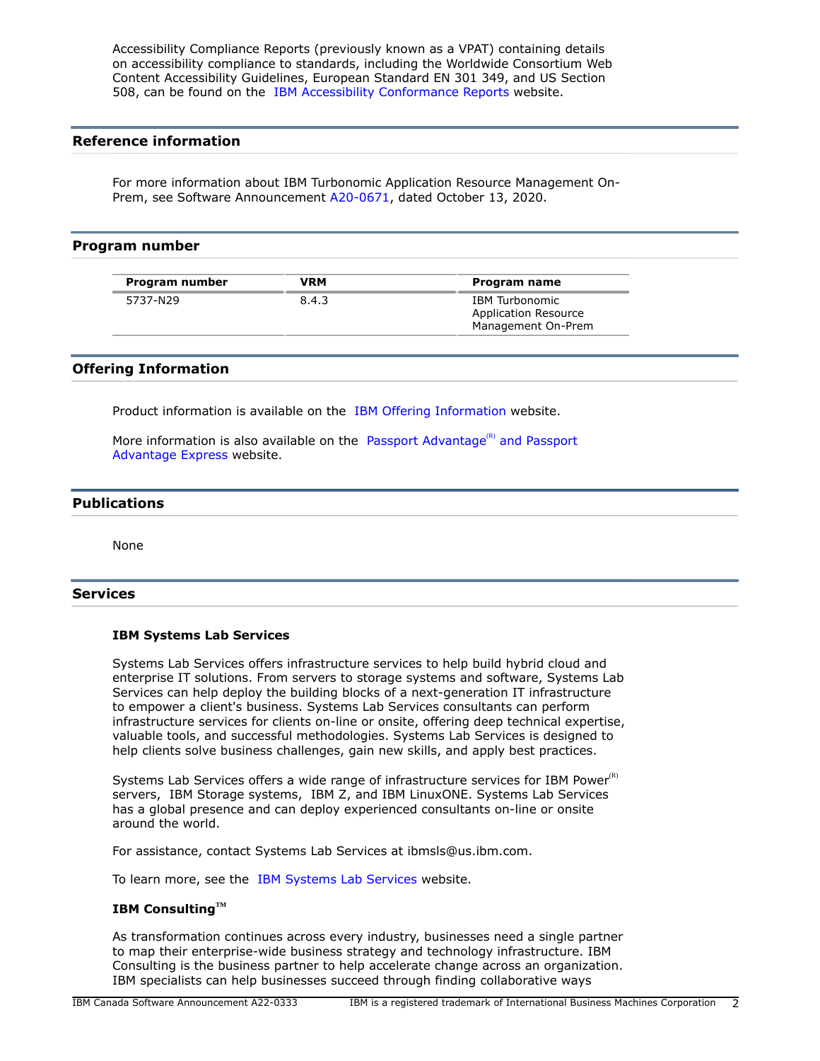Accessibility Compliance Reports (previously known as a VPAT) containing details on accessibility compliance to standards, including the Worldwide Consortium Web Content Accessibility Guidelines, European Standard EN 301 349, and US Section 508, can be found on the [IBM Accessibility Conformance Reports](https://www.ibm.com/able/product_accessibility/) website.

# **Reference information**

For more information about IBM Turbonomic Application Resource Management On-Prem, see Software Announcement [A20-0671](http://www.ibm.com/common/ssi/cgi-bin/ssialias?infotype=an&subtype=ca&appname=gpateam&supplier=649&letternum=ENUSA20-0671), dated October 13, 2020.

#### <span id="page-1-0"></span>**Program number**

| Program number | VRM   | Program name                                                               |
|----------------|-------|----------------------------------------------------------------------------|
| 5737-N29       | 8.4.3 | <b>IBM</b> Turbonomic<br><b>Application Resource</b><br>Management On-Prem |

## **Offering Information**

Product information is available on the [IBM Offering Information](http://www.ibm.com/common/ssi) website.

More information is also available on the [Passport Advantage](http://www.ibm.com/software/passportadvantage)<sup>(R)</sup> and Passport [Advantage Express](http://www.ibm.com/software/passportadvantage) website.

## <span id="page-1-1"></span>**Publications**

None

## **Services**

#### **IBM Systems Lab Services**

Systems Lab Services offers infrastructure services to help build hybrid cloud and enterprise IT solutions. From servers to storage systems and software, Systems Lab Services can help deploy the building blocks of a next-generation IT infrastructure to empower a client's business. Systems Lab Services consultants can perform infrastructure services for clients on-line or onsite, offering deep technical expertise, valuable tools, and successful methodologies. Systems Lab Services is designed to help clients solve business challenges, gain new skills, and apply best practices.

Systems Lab Services offers a wide range of infrastructure services for IBM Power $R$ ) servers, IBM Storage systems, IBM Z, and IBM LinuxONE. Systems Lab Services has a global presence and can deploy experienced consultants on-line or onsite around the world.

For assistance, contact Systems Lab Services at ibmsls@us.ibm.com.

To learn more, see the [IBM Systems Lab Services](https://www.ibm.com/it-infrastructure/services/lab-services) website.

#### **IBM ConsultingTM**

As transformation continues across every industry, businesses need a single partner to map their enterprise-wide business strategy and technology infrastructure. IBM Consulting is the business partner to help accelerate change across an organization. IBM specialists can help businesses succeed through finding collaborative ways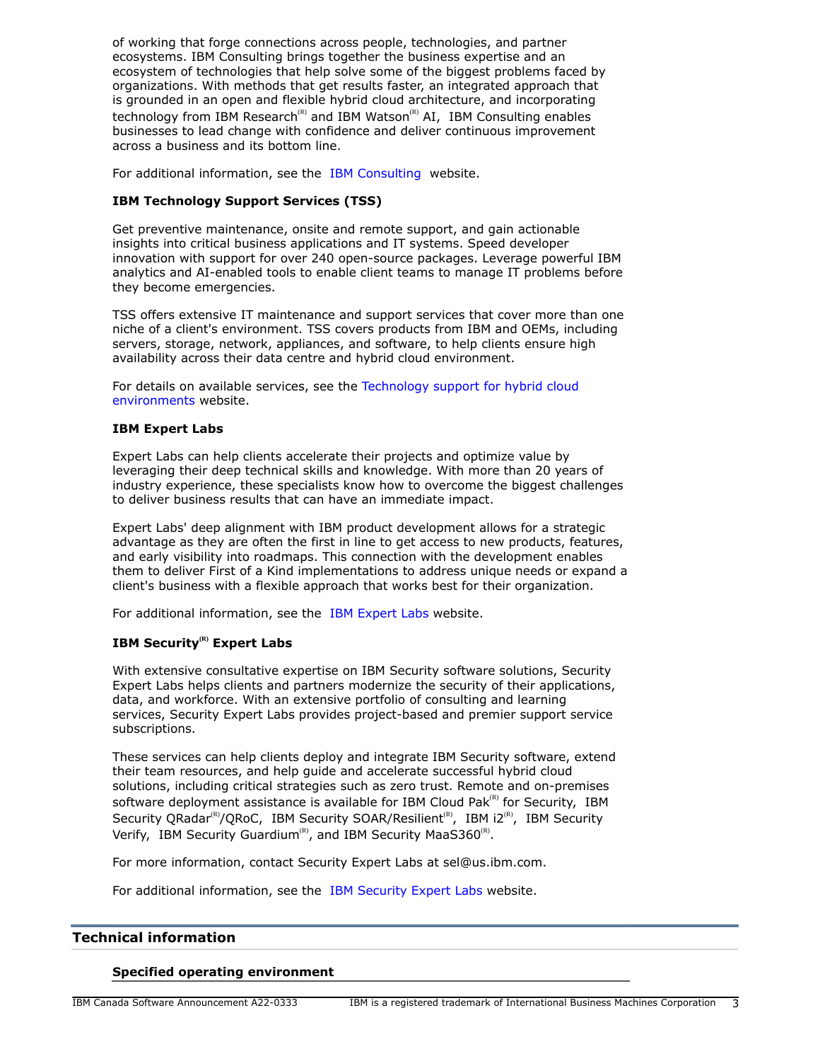of working that forge connections across people, technologies, and partner ecosystems. IBM Consulting brings together the business expertise and an ecosystem of technologies that help solve some of the biggest problems faced by organizations. With methods that get results faster, an integrated approach that is grounded in an open and flexible hybrid cloud architecture, and incorporating technology from IBM Research<sup>(R)</sup> and IBM Watson<sup>(R)</sup> AI, IBM Consulting enables businesses to lead change with confidence and deliver continuous improvement across a business and its bottom line.

For additional information, see the [IBM Consulting](https://www.ibm.com/consulting) website.

## **IBM Technology Support Services (TSS)**

Get preventive maintenance, onsite and remote support, and gain actionable insights into critical business applications and IT systems. Speed developer innovation with support for over 240 open-source packages. Leverage powerful IBM analytics and AI-enabled tools to enable client teams to manage IT problems before they become emergencies.

TSS offers extensive IT maintenance and support services that cover more than one niche of a client's environment. TSS covers products from IBM and OEMs, including servers, storage, network, appliances, and software, to help clients ensure high availability across their data centre and hybrid cloud environment.

For details on available services, see the [Technology support for hybrid cloud](https://www.ibm.com/services/technology-support) [environments](https://www.ibm.com/services/technology-support) website.

#### **IBM Expert Labs**

Expert Labs can help clients accelerate their projects and optimize value by leveraging their deep technical skills and knowledge. With more than 20 years of industry experience, these specialists know how to overcome the biggest challenges to deliver business results that can have an immediate impact.

Expert Labs' deep alignment with IBM product development allows for a strategic advantage as they are often the first in line to get access to new products, features, and early visibility into roadmaps. This connection with the development enables them to deliver First of a Kind implementations to address unique needs or expand a client's business with a flexible approach that works best for their organization.

For additional information, see the [IBM Expert Labs](https://www.ibm.com/products/expertlabs) website.

# **IBM Security(R) Expert Labs**

With extensive consultative expertise on IBM Security software solutions, Security Expert Labs helps clients and partners modernize the security of their applications, data, and workforce. With an extensive portfolio of consulting and learning services, Security Expert Labs provides project-based and premier support service subscriptions.

These services can help clients deploy and integrate IBM Security software, extend their team resources, and help guide and accelerate successful hybrid cloud solutions, including critical strategies such as zero trust. Remote and on-premises software deployment assistance is available for IBM Cloud Pak $R<sup>(R)</sup>$  for Security, IBM Security QRadar<sup>(R)</sup>/QRoC, IBM Security SOAR/Resilient<sup>(R)</sup>, IBM i2<sup>(R)</sup>, IBM Security Verify, IBM Security Guardium<sup>(R)</sup>, and IBM Security MaaS360<sup>(R)</sup>.

For more information, contact Security Expert Labs at sel@us.ibm.com.

For additional information, see the [IBM Security Expert Labs](https://www.ibm.com/security/security-expert-labs) website.

#### <span id="page-2-0"></span>**Technical information**

#### **Specified operating environment**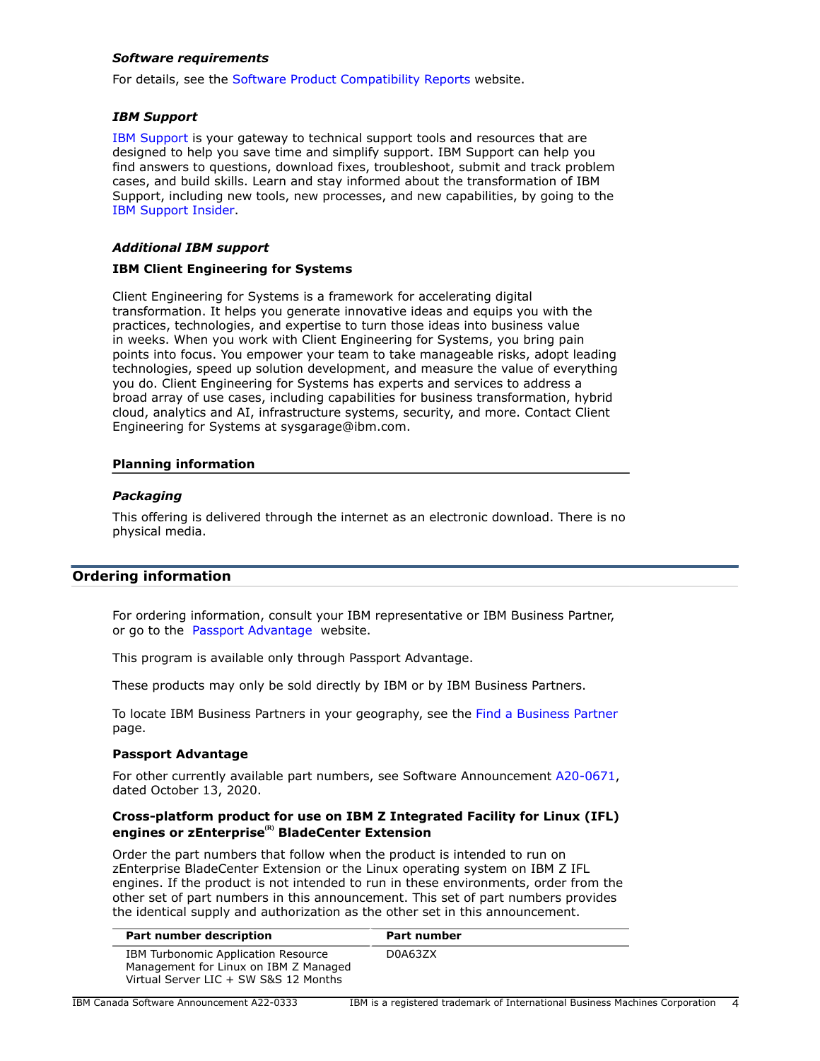## <span id="page-3-1"></span>*Software requirements*

For details, see the [Software Product Compatibility Reports](https://www.ibm.com/software/reports/compatibility/clarity/index.html) website.

#### *IBM Support*

[IBM Support](https://www.ibm.com/support) is your gateway to technical support tools and resources that are designed to help you save time and simplify support. IBM Support can help you find answers to questions, download fixes, troubleshoot, submit and track problem cases, and build skills. Learn and stay informed about the transformation of IBM Support, including new tools, new processes, and new capabilities, by going to the [IBM Support Insider](https://www.ibm.com/support/insider).

## *Additional IBM support*

## **IBM Client Engineering for Systems**

Client Engineering for Systems is a framework for accelerating digital transformation. It helps you generate innovative ideas and equips you with the practices, technologies, and expertise to turn those ideas into business value in weeks. When you work with Client Engineering for Systems, you bring pain points into focus. You empower your team to take manageable risks, adopt leading technologies, speed up solution development, and measure the value of everything you do. Client Engineering for Systems has experts and services to address a broad array of use cases, including capabilities for business transformation, hybrid cloud, analytics and AI, infrastructure systems, security, and more. Contact Client Engineering for Systems at sysgarage@ibm.com.

## **Planning information**

## *Packaging*

This offering is delivered through the internet as an electronic download. There is no physical media.

## <span id="page-3-0"></span>**Ordering information**

For ordering information, consult your IBM representative or IBM Business Partner, or go to the [Passport Advantage](https://www.ibm.com/software/passportadvantage/) website.

This program is available only through Passport Advantage.

These products may only be sold directly by IBM or by IBM Business Partners.

To locate IBM Business Partners in your geography, see the [Find a Business Partner](http://www.ibm.com/partnerworld/wps/bplocator/) page.

#### **Passport Advantage**

For other currently available part numbers, see Software Announcement [A20-0671,](http://www.ibm.com/common/ssi/cgi-bin/ssialias?infotype=an&subtype=ca&appname=gpateam&supplier=649&letternum=ENUSA20-0671) dated October 13, 2020.

## **Cross-platform product for use on IBM Z Integrated Facility for Linux (IFL) engines or zEnterprise(R) BladeCenter Extension**

Order the part numbers that follow when the product is intended to run on zEnterprise BladeCenter Extension or the Linux operating system on IBM Z IFL engines. If the product is not intended to run in these environments, order from the other set of part numbers in this announcement. This set of part numbers provides the identical supply and authorization as the other set in this announcement.

| Part number description                                                                                               | <b>Part number</b> |
|-----------------------------------------------------------------------------------------------------------------------|--------------------|
| IBM Turbonomic Application Resource<br>Management for Linux on IBM Z Managed<br>Virtual Server LIC + SW S&S 12 Months | D0A63ZX            |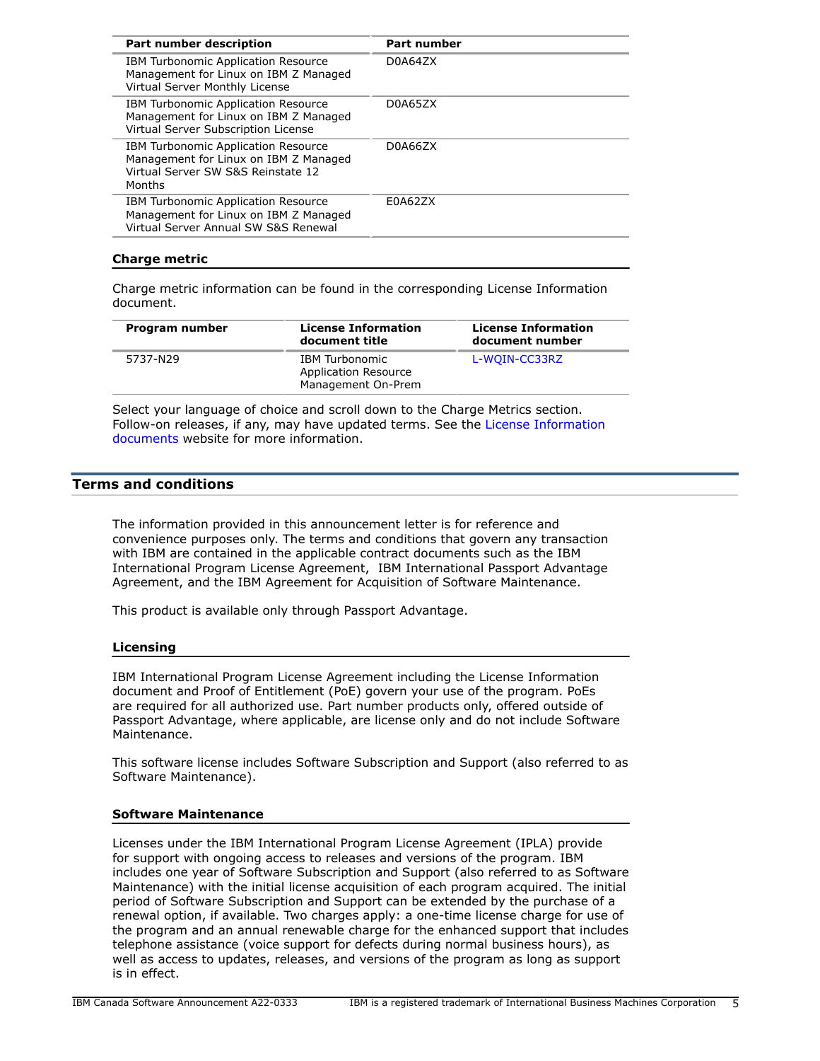| <b>Part number</b> |  |
|--------------------|--|
| D0A64ZX            |  |
| D0A65ZX            |  |
| D0A66ZX            |  |
| E0A62ZX            |  |
|                    |  |

## **Charge metric**

Charge metric information can be found in the corresponding License Information document.

| Program number | <b>License Information</b><br>document title                               | <b>License Information</b><br>document number |
|----------------|----------------------------------------------------------------------------|-----------------------------------------------|
| 5737-N29       | <b>IBM Turbonomic</b><br><b>Application Resource</b><br>Management On-Prem | L-WOIN-CC33RZ                                 |

Select your language of choice and scroll down to the Charge Metrics section. Follow-on releases, if any, may have updated terms. See the [License Information](https://www.ibm.com/software/sla/sladb.nsf/search?OpenForm) [documents](https://www.ibm.com/software/sla/sladb.nsf/search?OpenForm) website for more information.

## <span id="page-4-0"></span>**Terms and conditions**

The information provided in this announcement letter is for reference and convenience purposes only. The terms and conditions that govern any transaction with IBM are contained in the applicable contract documents such as the IBM International Program License Agreement, IBM International Passport Advantage Agreement, and the IBM Agreement for Acquisition of Software Maintenance.

This product is available only through Passport Advantage.

#### **Licensing**

IBM International Program License Agreement including the License Information document and Proof of Entitlement (PoE) govern your use of the program. PoEs are required for all authorized use. Part number products only, offered outside of Passport Advantage, where applicable, are license only and do not include Software Maintenance.

This software license includes Software Subscription and Support (also referred to as Software Maintenance).

#### **Software Maintenance**

Licenses under the IBM International Program License Agreement (IPLA) provide for support with ongoing access to releases and versions of the program. IBM includes one year of Software Subscription and Support (also referred to as Software Maintenance) with the initial license acquisition of each program acquired. The initial period of Software Subscription and Support can be extended by the purchase of a renewal option, if available. Two charges apply: a one-time license charge for use of the program and an annual renewable charge for the enhanced support that includes telephone assistance (voice support for defects during normal business hours), as well as access to updates, releases, and versions of the program as long as support is in effect.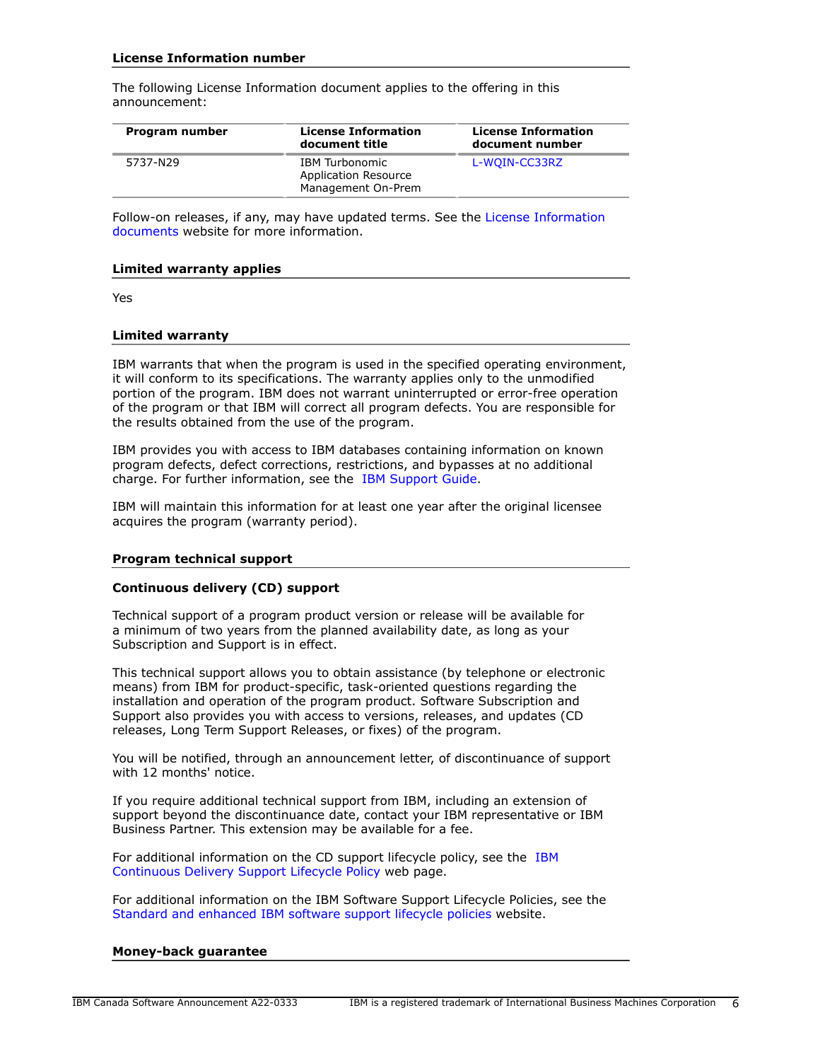## **License Information number**

The following License Information document applies to the offering in this announcement:

| Program number | <b>License Information</b><br>document title                 | <b>License Information</b><br>document number |
|----------------|--------------------------------------------------------------|-----------------------------------------------|
| 5737-N29       | IBM Turbonomic<br>Application Resource<br>Management On-Prem | L-WOIN-CC33RZ                                 |

Follow-on releases, if any, may have updated terms. See the [License Information](https://www.ibm.com/software/sla/sladb.nsf/search?OpenForm) [documents](https://www.ibm.com/software/sla/sladb.nsf/search?OpenForm) website for more information.

#### **Limited warranty applies**

Yes

#### **Limited warranty**

IBM warrants that when the program is used in the specified operating environment, it will conform to its specifications. The warranty applies only to the unmodified portion of the program. IBM does not warrant uninterrupted or error-free operation of the program or that IBM will correct all program defects. You are responsible for the results obtained from the use of the program.

IBM provides you with access to IBM databases containing information on known program defects, defect corrections, restrictions, and bypasses at no additional charge. For further information, see the [IBM Support Guide](http://www.ibm.com/support/customercare/sas/f/handbook/home.html).

IBM will maintain this information for at least one year after the original licensee acquires the program (warranty period).

#### **Program technical support**

#### **Continuous delivery (CD) support**

Technical support of a program product version or release will be available for a minimum of two years from the planned availability date, as long as your Subscription and Support is in effect.

This technical support allows you to obtain assistance (by telephone or electronic means) from IBM for product-specific, task-oriented questions regarding the installation and operation of the program product. Software Subscription and Support also provides you with access to versions, releases, and updates (CD releases, Long Term Support Releases, or fixes) of the program.

You will be notified, through an announcement letter, of discontinuance of support with 12 months' notice.

If you require additional technical support from IBM, including an extension of support beyond the discontinuance date, contact your IBM representative or IBM Business Partner. This extension may be available for a fee.

For additional information on the CD support lifecycle policy, see the [IBM](https://www.ibm.com/support/pages/ibm-continuous-delivery-support-lifecycle-policy) [Continuous Delivery Support Lifecycle Policy](https://www.ibm.com/support/pages/ibm-continuous-delivery-support-lifecycle-policy) web page.

For additional information on the IBM Software Support Lifecycle Policies, see the [Standard and enhanced IBM software support lifecycle policies](http://www.ibm.com/software/support/lifecycle/lc-policy.html) website.

#### **Money-back guarantee**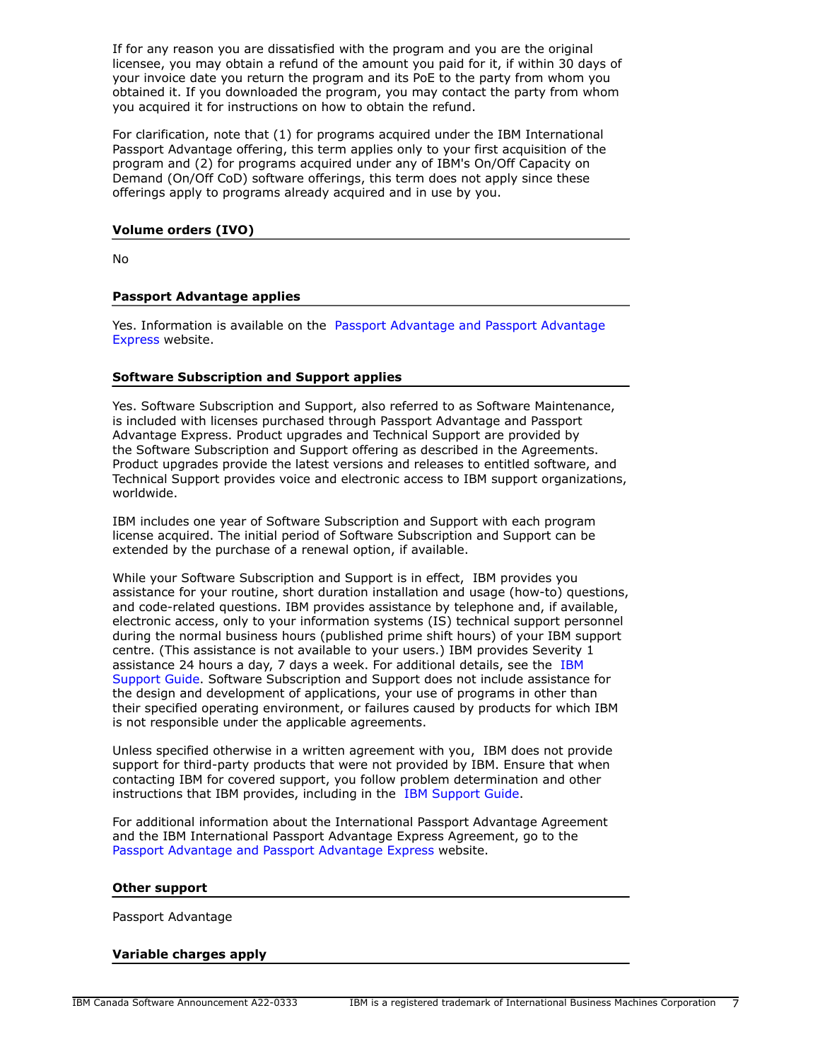If for any reason you are dissatisfied with the program and you are the original licensee, you may obtain a refund of the amount you paid for it, if within 30 days of your invoice date you return the program and its PoE to the party from whom you obtained it. If you downloaded the program, you may contact the party from whom you acquired it for instructions on how to obtain the refund.

For clarification, note that (1) for programs acquired under the IBM International Passport Advantage offering, this term applies only to your first acquisition of the program and (2) for programs acquired under any of IBM's On/Off Capacity on Demand (On/Off CoD) software offerings, this term does not apply since these offerings apply to programs already acquired and in use by you.

#### **Volume orders (IVO)**

No

#### **Passport Advantage applies**

Yes. Information is available on the [Passport Advantage and Passport Advantage](http://www.ibm.com/software/passportadvantage) [Express](http://www.ibm.com/software/passportadvantage) website.

#### **Software Subscription and Support applies**

Yes. Software Subscription and Support, also referred to as Software Maintenance, is included with licenses purchased through Passport Advantage and Passport Advantage Express. Product upgrades and Technical Support are provided by the Software Subscription and Support offering as described in the Agreements. Product upgrades provide the latest versions and releases to entitled software, and Technical Support provides voice and electronic access to IBM support organizations, worldwide.

IBM includes one year of Software Subscription and Support with each program license acquired. The initial period of Software Subscription and Support can be extended by the purchase of a renewal option, if available.

While your Software Subscription and Support is in effect, IBM provides you assistance for your routine, short duration installation and usage (how-to) questions, and code-related questions. IBM provides assistance by telephone and, if available, electronic access, only to your information systems (IS) technical support personnel during the normal business hours (published prime shift hours) of your IBM support centre. (This assistance is not available to your users.) IBM provides Severity 1 assistance 24 hours a day, 7 days a week. For additional details, see the [IBM](http://www.ibm.com/support/customercare/sas/f/handbook/home.html) [Support Guide](http://www.ibm.com/support/customercare/sas/f/handbook/home.html). Software Subscription and Support does not include assistance for the design and development of applications, your use of programs in other than their specified operating environment, or failures caused by products for which IBM is not responsible under the applicable agreements.

Unless specified otherwise in a written agreement with you, IBM does not provide support for third-party products that were not provided by IBM. Ensure that when contacting IBM for covered support, you follow problem determination and other instructions that IBM provides, including in the [IBM Support Guide.](http://www.ibm.com/support/customercare/sas/f/handbook/home.html)

For additional information about the International Passport Advantage Agreement and the IBM International Passport Advantage Express Agreement, go to the [Passport Advantage and Passport Advantage Express](http://www.ibm.com/software/passportadvantage) website.

#### **Other support**

Passport Advantage

#### **Variable charges apply**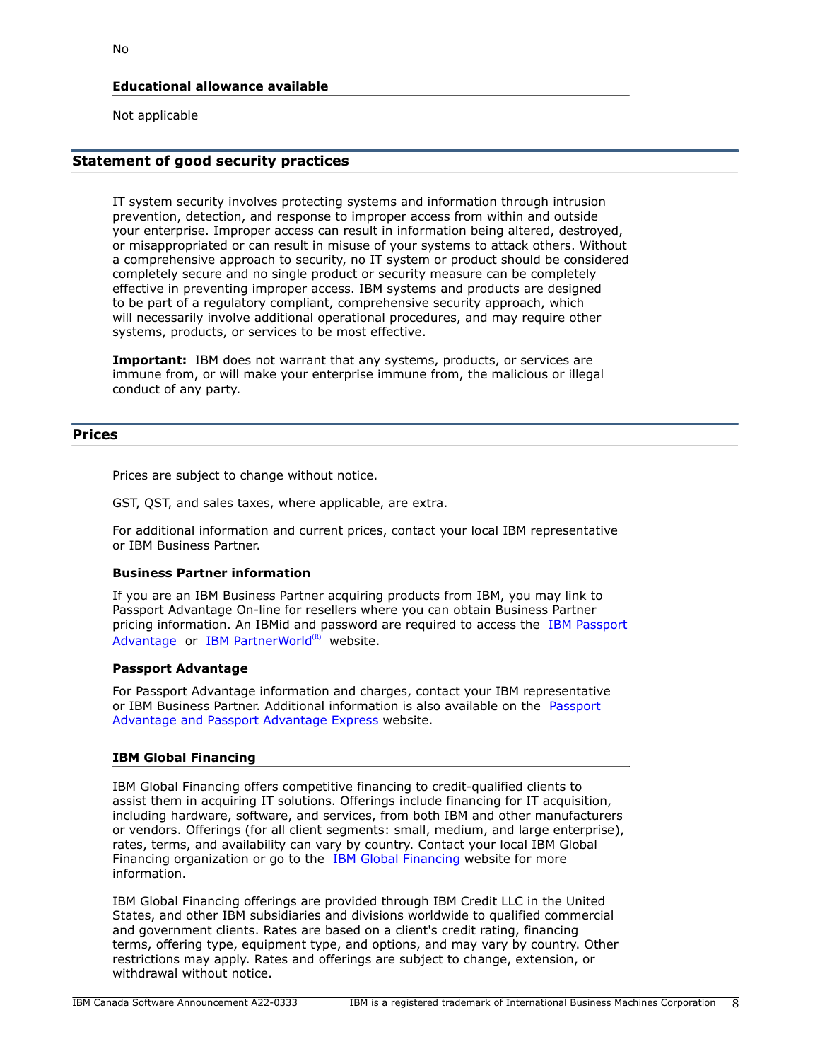## **Educational allowance available**

Not applicable

## **Statement of good security practices**

IT system security involves protecting systems and information through intrusion prevention, detection, and response to improper access from within and outside your enterprise. Improper access can result in information being altered, destroyed, or misappropriated or can result in misuse of your systems to attack others. Without a comprehensive approach to security, no IT system or product should be considered completely secure and no single product or security measure can be completely effective in preventing improper access. IBM systems and products are designed to be part of a regulatory compliant, comprehensive security approach, which will necessarily involve additional operational procedures, and may require other systems, products, or services to be most effective.

**Important:** IBM does not warrant that any systems, products, or services are immune from, or will make your enterprise immune from, the malicious or illegal conduct of any party.

## <span id="page-7-0"></span>**Prices**

Prices are subject to change without notice.

GST, QST, and sales taxes, where applicable, are extra.

For additional information and current prices, contact your local IBM representative or IBM Business Partner.

#### **Business Partner information**

If you are an IBM Business Partner acquiring products from IBM, you may link to Passport Advantage On-line for resellers where you can obtain Business Partner pricing information. An IBMid and password are required to access the [IBM Passport](https://www.ibm.com/software/passportadvantage/pao_reseller.html) [Advantage](https://www.ibm.com/software/passportadvantage/pao_reseller.html) or [IBM PartnerWorld](https://www.ibm.com/partnerworld/resources/sell) $(R)$  website.

#### **Passport Advantage**

For Passport Advantage information and charges, contact your IBM representative or IBM Business Partner. Additional information is also available on the [Passport](http://www.ibm.com/software/passportadvantage) [Advantage and Passport Advantage Express](http://www.ibm.com/software/passportadvantage) website.

## **IBM Global Financing**

IBM Global Financing offers competitive financing to credit-qualified clients to assist them in acquiring IT solutions. Offerings include financing for IT acquisition, including hardware, software, and services, from both IBM and other manufacturers or vendors. Offerings (for all client segments: small, medium, and large enterprise), rates, terms, and availability can vary by country. Contact your local IBM Global Financing organization or go to the [IBM Global Financing](http://www.ibm.com/financing) website for more information.

IBM Global Financing offerings are provided through IBM Credit LLC in the United States, and other IBM subsidiaries and divisions worldwide to qualified commercial and government clients. Rates are based on a client's credit rating, financing terms, offering type, equipment type, and options, and may vary by country. Other restrictions may apply. Rates and offerings are subject to change, extension, or withdrawal without notice.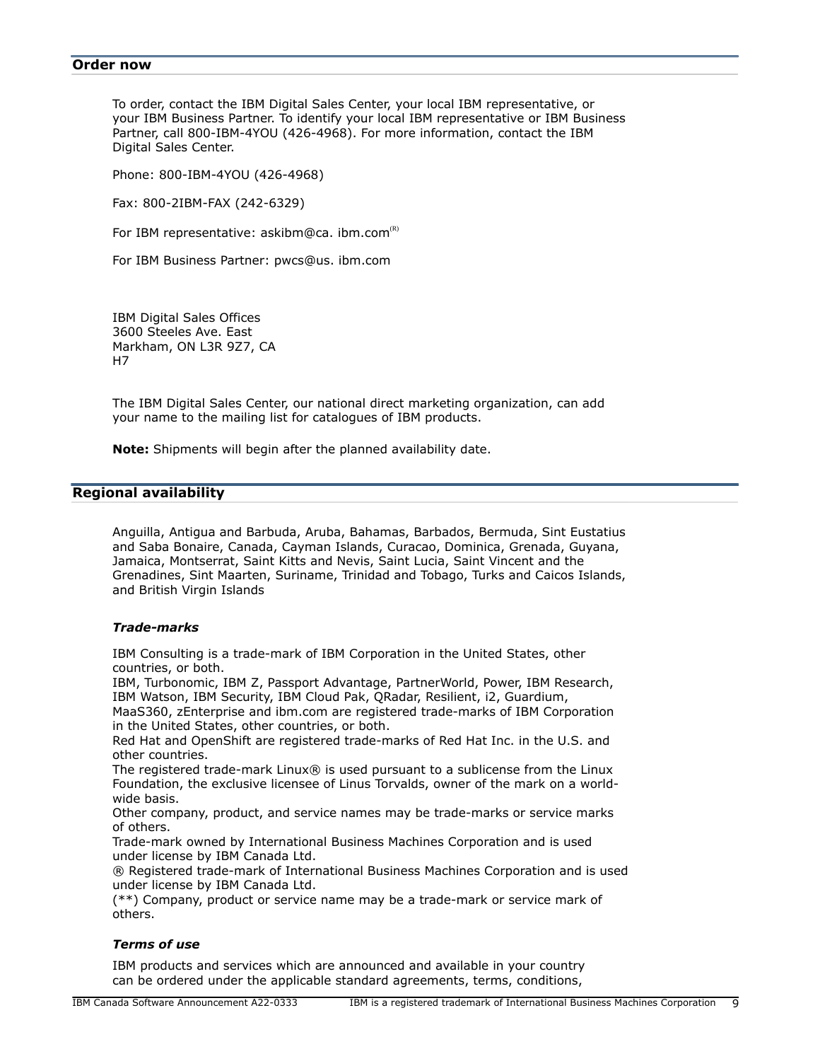#### <span id="page-8-0"></span>**Order now**

To order, contact the IBM Digital Sales Center, your local IBM representative, or your IBM Business Partner. To identify your local IBM representative or IBM Business Partner, call 800-IBM-4YOU (426-4968). For more information, contact the IBM Digital Sales Center.

Phone: 800-IBM-4YOU (426-4968)

Fax: 800-2IBM-FAX (242-6329)

For IBM representative:  $askibm@ca. ibm.com<sup>(K)</sup>$ 

For IBM Business Partner: pwcs@us. ibm.com

IBM Digital Sales Offices 3600 Steeles Ave. East Markham, ON L3R 9Z7, CA H7

The IBM Digital Sales Center, our national direct marketing organization, can add your name to the mailing list for catalogues of IBM products.

**Note:** Shipments will begin after the planned availability date.

## <span id="page-8-1"></span>**Regional availability**

Anguilla, Antigua and Barbuda, Aruba, Bahamas, Barbados, Bermuda, Sint Eustatius and Saba Bonaire, Canada, Cayman Islands, Curacao, Dominica, Grenada, Guyana, Jamaica, Montserrat, Saint Kitts and Nevis, Saint Lucia, Saint Vincent and the Grenadines, Sint Maarten, Suriname, Trinidad and Tobago, Turks and Caicos Islands, and British Virgin Islands

#### *Trade-marks*

IBM Consulting is a trade-mark of IBM Corporation in the United States, other countries, or both.

IBM, Turbonomic, IBM Z, Passport Advantage, PartnerWorld, Power, IBM Research, IBM Watson, IBM Security, IBM Cloud Pak, QRadar, Resilient, i2, Guardium,

MaaS360, zEnterprise and ibm.com are registered trade-marks of IBM Corporation in the United States, other countries, or both.

Red Hat and OpenShift are registered trade-marks of Red Hat Inc. in the U.S. and other countries.

The registered trade-mark Linux® is used pursuant to a sublicense from the Linux Foundation, the exclusive licensee of Linus Torvalds, owner of the mark on a worldwide basis.

Other company, product, and service names may be trade-marks or service marks of others.

Trade-mark owned by International Business Machines Corporation and is used under license by IBM Canada Ltd.

® Registered trade-mark of International Business Machines Corporation and is used under license by IBM Canada Ltd.

(\*\*) Company, product or service name may be a trade-mark or service mark of others.

#### *Terms of use*

IBM products and services which are announced and available in your country can be ordered under the applicable standard agreements, terms, conditions,